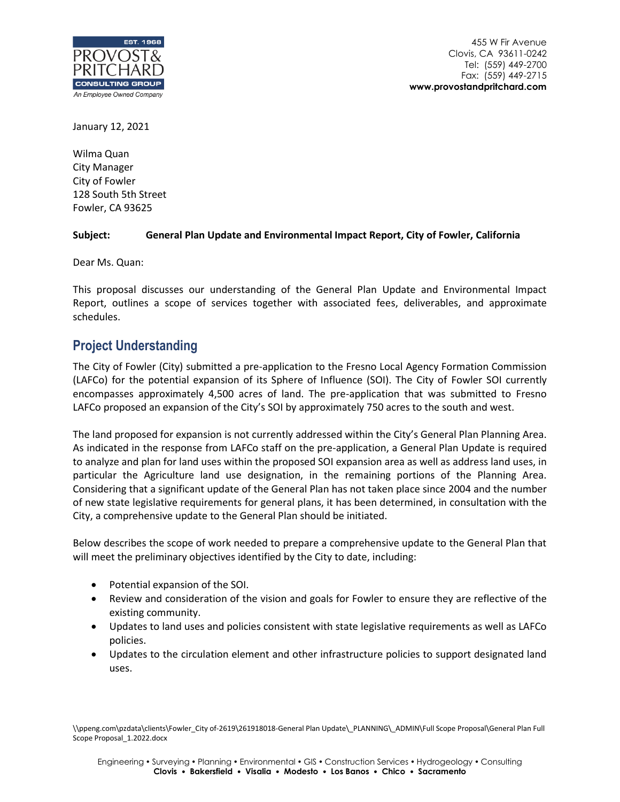

455 W Fir Avenue Clovis, CA 93611-0242 Tel: (559) 449-2700 Fax: (559) 449-2715 **www.provostandpritchard.com**

January 12, 2021

Wilma Quan City Manager City of Fowler 128 South 5th Street Fowler, CA 93625

#### **Subject: General Plan Update and Environmental Impact Report, City of Fowler, California**

Dear Ms. Quan:

This proposal discusses our understanding of the General Plan Update and Environmental Impact Report, outlines a scope of services together with associated fees, deliverables, and approximate schedules.

### **Project Understanding**

The City of Fowler (City) submitted a pre-application to the Fresno Local Agency Formation Commission (LAFCo) for the potential expansion of its Sphere of Influence (SOI). The City of Fowler SOI currently encompasses approximately 4,500 acres of land. The pre-application that was submitted to Fresno LAFCo proposed an expansion of the City's SOI by approximately 750 acres to the south and west.

The land proposed for expansion is not currently addressed within the City's General Plan Planning Area. As indicated in the response from LAFCo staff on the pre-application, a General Plan Update is required to analyze and plan for land uses within the proposed SOI expansion area as well as address land uses, in particular the Agriculture land use designation, in the remaining portions of the Planning Area. Considering that a significant update of the General Plan has not taken place since 2004 and the number of new state legislative requirements for general plans, it has been determined, in consultation with the City, a comprehensive update to the General Plan should be initiated.

Below describes the scope of work needed to prepare a comprehensive update to the General Plan that will meet the preliminary objectives identified by the City to date, including:

- Potential expansion of the SOI.
- Review and consideration of the vision and goals for Fowler to ensure they are reflective of the existing community.
- Updates to land uses and policies consistent with state legislative requirements as well as LAFCo policies.
- Updates to the circulation element and other infrastructure policies to support designated land uses.

\\ppeng.com\pzdata\clients\Fowler\_City of-2619\261918018-General Plan Update\\_PLANNING\\_ADMIN\Full Scope Proposal\General Plan Full Scope Proposal\_1.2022.docx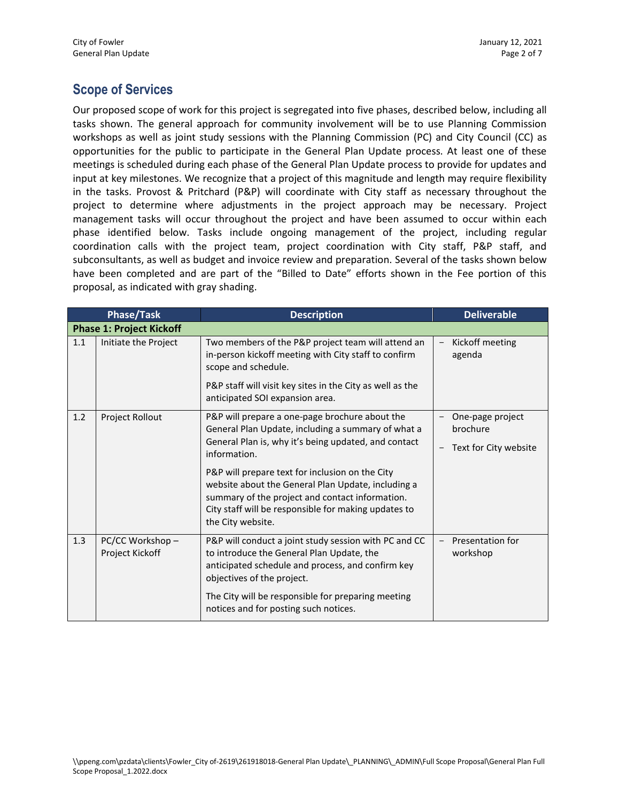# **Scope of Services**

Our proposed scope of work for this project is segregated into five phases, described below, including all tasks shown. The general approach for community involvement will be to use Planning Commission workshops as well as joint study sessions with the Planning Commission (PC) and City Council (CC) as opportunities for the public to participate in the General Plan Update process. At least one of these meetings is scheduled during each phase of the General Plan Update process to provide for updates and input at key milestones. We recognize that a project of this magnitude and length may require flexibility in the tasks. Provost & Pritchard (P&P) will coordinate with City staff as necessary throughout the project to determine where adjustments in the project approach may be necessary. Project management tasks will occur throughout the project and have been assumed to occur within each phase identified below. Tasks include ongoing management of the project, including regular coordination calls with the project team, project coordination with City staff, P&P staff, and subconsultants, as well as budget and invoice review and preparation. Several of the tasks shown below have been completed and are part of the "Billed to Date" efforts shown in the Fee portion of this proposal, as indicated with gray shading.

| <b>Phase/Task</b>               |                                     | <b>Description</b>                                                                                                                                                                                                                                                                                                                                                                                                    | <b>Deliverable</b>                                    |  |  |  |
|---------------------------------|-------------------------------------|-----------------------------------------------------------------------------------------------------------------------------------------------------------------------------------------------------------------------------------------------------------------------------------------------------------------------------------------------------------------------------------------------------------------------|-------------------------------------------------------|--|--|--|
| <b>Phase 1: Project Kickoff</b> |                                     |                                                                                                                                                                                                                                                                                                                                                                                                                       |                                                       |  |  |  |
| 1.1                             | Initiate the Project                | Two members of the P&P project team will attend an<br>in-person kickoff meeting with City staff to confirm<br>scope and schedule.<br>P&P staff will visit key sites in the City as well as the<br>anticipated SOI expansion area.                                                                                                                                                                                     | Kickoff meeting<br>agenda                             |  |  |  |
| 1.2                             | Project Rollout                     | P&P will prepare a one-page brochure about the<br>General Plan Update, including a summary of what a<br>General Plan is, why it's being updated, and contact<br>information.<br>P&P will prepare text for inclusion on the City<br>website about the General Plan Update, including a<br>summary of the project and contact information.<br>City staff will be responsible for making updates to<br>the City website. | One-page project<br>brochure<br>Text for City website |  |  |  |
| 1.3                             | PC/CC Workshop -<br>Project Kickoff | P&P will conduct a joint study session with PC and CC<br>to introduce the General Plan Update, the<br>anticipated schedule and process, and confirm key<br>objectives of the project.<br>The City will be responsible for preparing meeting<br>notices and for posting such notices.                                                                                                                                  | Presentation for<br>workshop                          |  |  |  |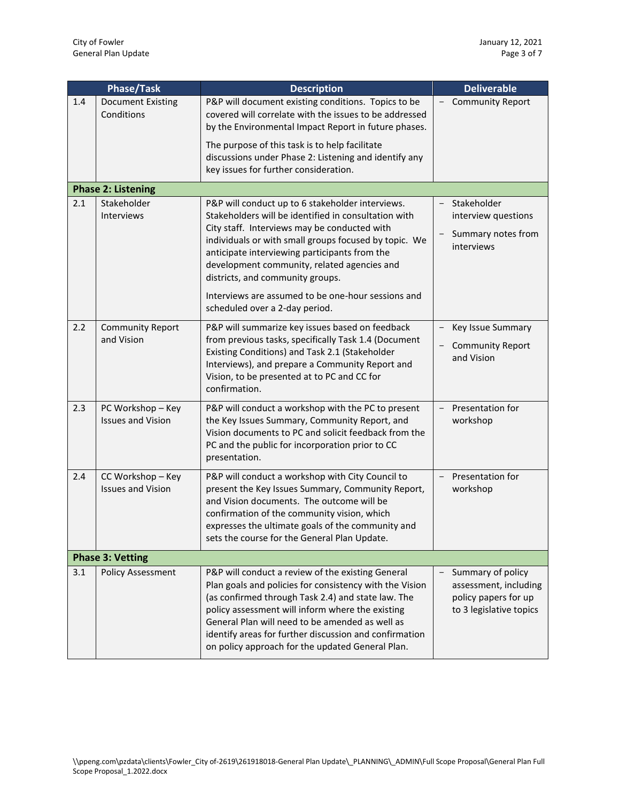| <b>Phase/Task</b> |                                               | <b>Description</b>                                                                                                                                                                                                                                                                                                                                                                                          | <b>Deliverable</b>                                                                                 |  |  |  |
|-------------------|-----------------------------------------------|-------------------------------------------------------------------------------------------------------------------------------------------------------------------------------------------------------------------------------------------------------------------------------------------------------------------------------------------------------------------------------------------------------------|----------------------------------------------------------------------------------------------------|--|--|--|
| 1.4               | <b>Document Existing</b><br>Conditions        | P&P will document existing conditions. Topics to be<br>covered will correlate with the issues to be addressed<br>by the Environmental Impact Report in future phases.                                                                                                                                                                                                                                       | - Community Report                                                                                 |  |  |  |
|                   |                                               | The purpose of this task is to help facilitate<br>discussions under Phase 2: Listening and identify any<br>key issues for further consideration.                                                                                                                                                                                                                                                            |                                                                                                    |  |  |  |
|                   | <b>Phase 2: Listening</b>                     |                                                                                                                                                                                                                                                                                                                                                                                                             |                                                                                                    |  |  |  |
| 2.1               | Stakeholder<br><b>Interviews</b>              | P&P will conduct up to 6 stakeholder interviews.<br>Stakeholders will be identified in consultation with<br>City staff. Interviews may be conducted with<br>individuals or with small groups focused by topic. We<br>anticipate interviewing participants from the<br>development community, related agencies and<br>districts, and community groups.<br>Interviews are assumed to be one-hour sessions and | Stakeholder<br>$\overline{\phantom{0}}$<br>interview questions<br>Summary notes from<br>interviews |  |  |  |
|                   |                                               | scheduled over a 2-day period.                                                                                                                                                                                                                                                                                                                                                                              |                                                                                                    |  |  |  |
| 2.2               | <b>Community Report</b><br>and Vision         | P&P will summarize key issues based on feedback<br>from previous tasks, specifically Task 1.4 (Document<br>Existing Conditions) and Task 2.1 (Stakeholder<br>Interviews), and prepare a Community Report and<br>Vision, to be presented at to PC and CC for<br>confirmation.                                                                                                                                | Key Issue Summary<br>- Community Report<br>and Vision                                              |  |  |  |
| 2.3               | PC Workshop - Key<br><b>Issues and Vision</b> | P&P will conduct a workshop with the PC to present<br>the Key Issues Summary, Community Report, and<br>Vision documents to PC and solicit feedback from the<br>PC and the public for incorporation prior to CC<br>presentation.                                                                                                                                                                             | Presentation for<br>workshop                                                                       |  |  |  |
| 2.4               | CC Workshop - Key<br><b>Issues and Vision</b> | P&P will conduct a workshop with City Council to<br>present the Key Issues Summary, Community Report,<br>and Vision documents. The outcome will be<br>confirmation of the community vision, which<br>expresses the ultimate goals of the community and<br>sets the course for the General Plan Update.                                                                                                      | - Presentation for<br>workshop                                                                     |  |  |  |
|                   | <b>Phase 3: Vetting</b>                       |                                                                                                                                                                                                                                                                                                                                                                                                             |                                                                                                    |  |  |  |
| 3.1               | <b>Policy Assessment</b>                      | P&P will conduct a review of the existing General<br>Plan goals and policies for consistency with the Vision<br>(as confirmed through Task 2.4) and state law. The<br>policy assessment will inform where the existing<br>General Plan will need to be amended as well as<br>identify areas for further discussion and confirmation<br>on policy approach for the updated General Plan.                     | Summary of policy<br>assessment, including<br>policy papers for up<br>to 3 legislative topics      |  |  |  |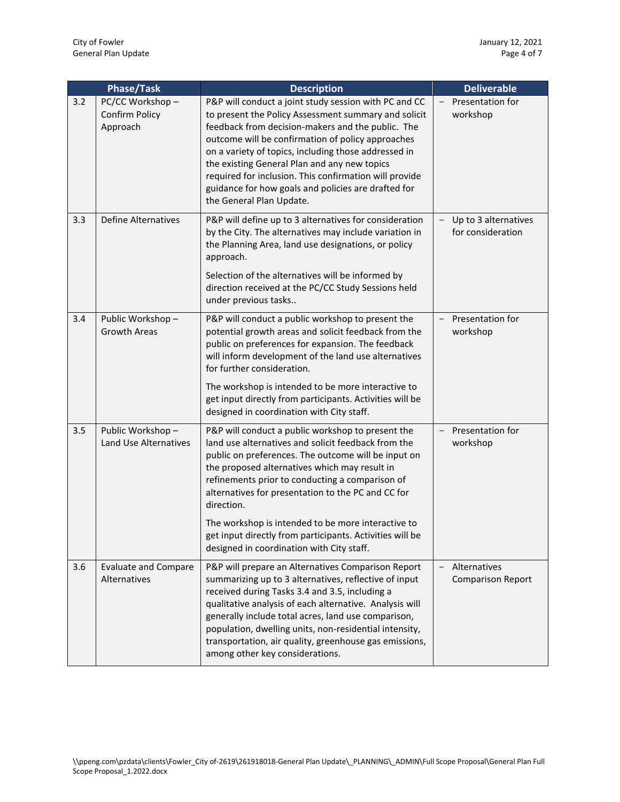|     | <b>Phase/Task</b>                             | <b>Description</b>                                                                                                                                                                                                                                                                                                                                                                                                                                                                                     | <b>Deliverable</b>                                                    |  |
|-----|-----------------------------------------------|--------------------------------------------------------------------------------------------------------------------------------------------------------------------------------------------------------------------------------------------------------------------------------------------------------------------------------------------------------------------------------------------------------------------------------------------------------------------------------------------------------|-----------------------------------------------------------------------|--|
| 3.2 | PC/CC Workshop-<br>Confirm Policy<br>Approach | P&P will conduct a joint study session with PC and CC<br>to present the Policy Assessment summary and solicit<br>feedback from decision-makers and the public. The<br>outcome will be confirmation of policy approaches<br>on a variety of topics, including those addressed in<br>the existing General Plan and any new topics<br>required for inclusion. This confirmation will provide<br>guidance for how goals and policies are drafted for<br>the General Plan Update.                           | Presentation for<br>workshop                                          |  |
| 3.3 | <b>Define Alternatives</b>                    | P&P will define up to 3 alternatives for consideration<br>by the City. The alternatives may include variation in<br>the Planning Area, land use designations, or policy<br>approach.<br>Selection of the alternatives will be informed by<br>direction received at the PC/CC Study Sessions held<br>under previous tasks                                                                                                                                                                               | Up to 3 alternatives<br>$\overline{\phantom{a}}$<br>for consideration |  |
| 3.4 | Public Workshop-<br><b>Growth Areas</b>       | P&P will conduct a public workshop to present the<br>potential growth areas and solicit feedback from the<br>public on preferences for expansion. The feedback<br>will inform development of the land use alternatives<br>for further consideration.<br>The workshop is intended to be more interactive to<br>get input directly from participants. Activities will be<br>designed in coordination with City staff.                                                                                    | Presentation for<br>$\overline{\phantom{0}}$<br>workshop              |  |
| 3.5 | Public Workshop-<br>Land Use Alternatives     | P&P will conduct a public workshop to present the<br>land use alternatives and solicit feedback from the<br>public on preferences. The outcome will be input on<br>the proposed alternatives which may result in<br>refinements prior to conducting a comparison of<br>alternatives for presentation to the PC and CC for<br>direction.<br>The workshop is intended to be more interactive to<br>get input directly from participants. Activities will be<br>designed in coordination with City staff. | Presentation for<br>$\qquad \qquad -$<br>workshop                     |  |
| 3.6 | <b>Evaluate and Compare</b><br>Alternatives   | P&P will prepare an Alternatives Comparison Report<br>summarizing up to 3 alternatives, reflective of input<br>received during Tasks 3.4 and 3.5, including a<br>qualitative analysis of each alternative. Analysis will<br>generally include total acres, land use comparison,<br>population, dwelling units, non-residential intensity,<br>transportation, air quality, greenhouse gas emissions,<br>among other key considerations.                                                                 | Alternatives<br>$\overline{\phantom{0}}$<br><b>Comparison Report</b>  |  |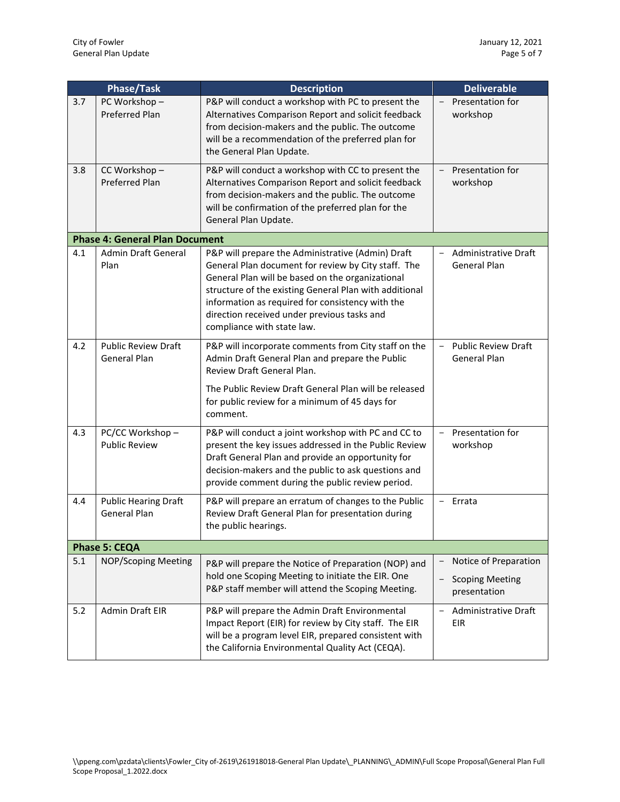| <b>Phase/Task</b> |                                                    | <b>Description</b>                                                                                                                                                                                                                                                                                                                                      | <b>Deliverable</b>                                                     |  |  |
|-------------------|----------------------------------------------------|---------------------------------------------------------------------------------------------------------------------------------------------------------------------------------------------------------------------------------------------------------------------------------------------------------------------------------------------------------|------------------------------------------------------------------------|--|--|
| 3.7               | PC Workshop-<br><b>Preferred Plan</b>              | P&P will conduct a workshop with PC to present the<br>Alternatives Comparison Report and solicit feedback<br>from decision-makers and the public. The outcome<br>will be a recommendation of the preferred plan for<br>the General Plan Update.                                                                                                         | Presentation for<br>$\overline{\phantom{0}}$<br>workshop               |  |  |
| 3.8               | CC Workshop-<br><b>Preferred Plan</b>              | P&P will conduct a workshop with CC to present the<br>Alternatives Comparison Report and solicit feedback<br>from decision-makers and the public. The outcome<br>will be confirmation of the preferred plan for the<br>General Plan Update.                                                                                                             | Presentation for<br>$\overline{\phantom{0}}$<br>workshop               |  |  |
|                   | <b>Phase 4: General Plan Document</b>              |                                                                                                                                                                                                                                                                                                                                                         |                                                                        |  |  |
| 4.1               | Admin Draft General<br>Plan                        | P&P will prepare the Administrative (Admin) Draft<br>General Plan document for review by City staff. The<br>General Plan will be based on the organizational<br>structure of the existing General Plan with additional<br>information as required for consistency with the<br>direction received under previous tasks and<br>compliance with state law. | Administrative Draft<br>$\overline{\phantom{0}}$<br>General Plan       |  |  |
| 4.2               | <b>Public Review Draft</b><br>General Plan         | P&P will incorporate comments from City staff on the<br>Admin Draft General Plan and prepare the Public<br>Review Draft General Plan.                                                                                                                                                                                                                   | <b>Public Review Draft</b><br>$\overline{\phantom{0}}$<br>General Plan |  |  |
|                   |                                                    | The Public Review Draft General Plan will be released<br>for public review for a minimum of 45 days for<br>comment.                                                                                                                                                                                                                                     |                                                                        |  |  |
| 4.3               | PC/CC Workshop-<br><b>Public Review</b>            | P&P will conduct a joint workshop with PC and CC to<br>present the key issues addressed in the Public Review<br>Draft General Plan and provide an opportunity for<br>decision-makers and the public to ask questions and<br>provide comment during the public review period.                                                                            | Presentation for<br>$\overline{\phantom{0}}$<br>workshop               |  |  |
| 4.4               | <b>Public Hearing Draft</b><br><b>General Plan</b> | P&P will prepare an erratum of changes to the Public<br>Review Draft General Plan for presentation during<br>the public hearings.                                                                                                                                                                                                                       | Errata<br>$\overline{\phantom{0}}$                                     |  |  |
|                   | <b>Phase 5: CEQA</b>                               |                                                                                                                                                                                                                                                                                                                                                         |                                                                        |  |  |
| 5.1               | <b>NOP/Scoping Meeting</b>                         | P&P will prepare the Notice of Preparation (NOP) and<br>hold one Scoping Meeting to initiate the EIR. One<br>P&P staff member will attend the Scoping Meeting.                                                                                                                                                                                          | Notice of Preparation<br><b>Scoping Meeting</b><br>presentation        |  |  |
| 5.2               | Admin Draft EIR                                    | P&P will prepare the Admin Draft Environmental<br>Impact Report (EIR) for review by City staff. The EIR<br>will be a program level EIR, prepared consistent with<br>the California Environmental Quality Act (CEQA).                                                                                                                                    | Administrative Draft<br><b>EIR</b>                                     |  |  |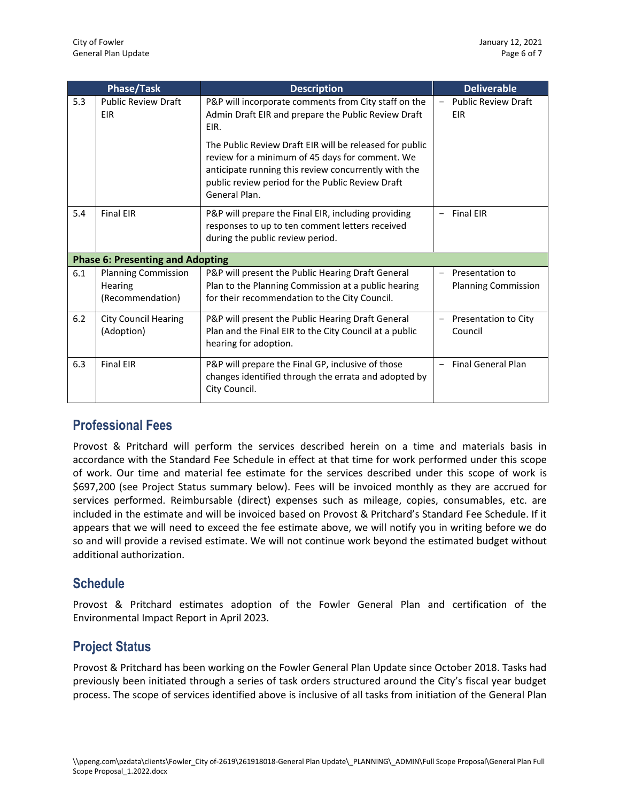| <b>Phase/Task</b> |                                                           | <b>Description</b>                                                                                                                                                                                                                      | <b>Deliverable</b>                            |  |
|-------------------|-----------------------------------------------------------|-----------------------------------------------------------------------------------------------------------------------------------------------------------------------------------------------------------------------------------------|-----------------------------------------------|--|
| 5.3               | <b>Public Review Draft</b><br><b>EIR</b>                  | P&P will incorporate comments from City staff on the<br>Admin Draft EIR and prepare the Public Review Draft<br>EIR.                                                                                                                     |                                               |  |
|                   |                                                           | The Public Review Draft EIR will be released for public<br>review for a minimum of 45 days for comment. We<br>anticipate running this review concurrently with the<br>public review period for the Public Review Draft<br>General Plan. |                                               |  |
| 5.4               | <b>Final EIR</b>                                          | P&P will prepare the Final EIR, including providing<br>responses to up to ten comment letters received<br>during the public review period.                                                                                              | <b>Final EIR</b>                              |  |
|                   | <b>Phase 6: Presenting and Adopting</b>                   |                                                                                                                                                                                                                                         |                                               |  |
| 6.1               | <b>Planning Commission</b><br>Hearing<br>(Recommendation) | P&P will present the Public Hearing Draft General<br>Plan to the Planning Commission at a public hearing<br>for their recommendation to the City Council.                                                                               | Presentation to<br><b>Planning Commission</b> |  |
| 6.2               | <b>City Council Hearing</b><br>(Adoption)                 | P&P will present the Public Hearing Draft General<br>Plan and the Final EIR to the City Council at a public<br>hearing for adoption.                                                                                                    | Presentation to City<br>Council               |  |
| 6.3               | <b>Final EIR</b>                                          | P&P will prepare the Final GP, inclusive of those<br>changes identified through the errata and adopted by<br>City Council.                                                                                                              | <b>Final General Plan</b>                     |  |

## **Professional Fees**

Provost & Pritchard will perform the services described herein on a time and materials basis in accordance with the Standard Fee Schedule in effect at that time for work performed under this scope of work. Our time and material fee estimate for the services described under this scope of work is \$697,200 (see Project Status summary below). Fees will be invoiced monthly as they are accrued for services performed. Reimbursable (direct) expenses such as mileage, copies, consumables, etc. are included in the estimate and will be invoiced based on Provost & Pritchard's Standard Fee Schedule. If it appears that we will need to exceed the fee estimate above, we will notify you in writing before we do so and will provide a revised estimate. We will not continue work beyond the estimated budget without additional authorization.

### **Schedule**

Provost & Pritchard estimates adoption of the Fowler General Plan and certification of the Environmental Impact Report in April 2023.

### **Project Status**

Provost & Pritchard has been working on the Fowler General Plan Update since October 2018. Tasks had previously been initiated through a series of task orders structured around the City's fiscal year budget process. The scope of services identified above is inclusive of all tasks from initiation of the General Plan